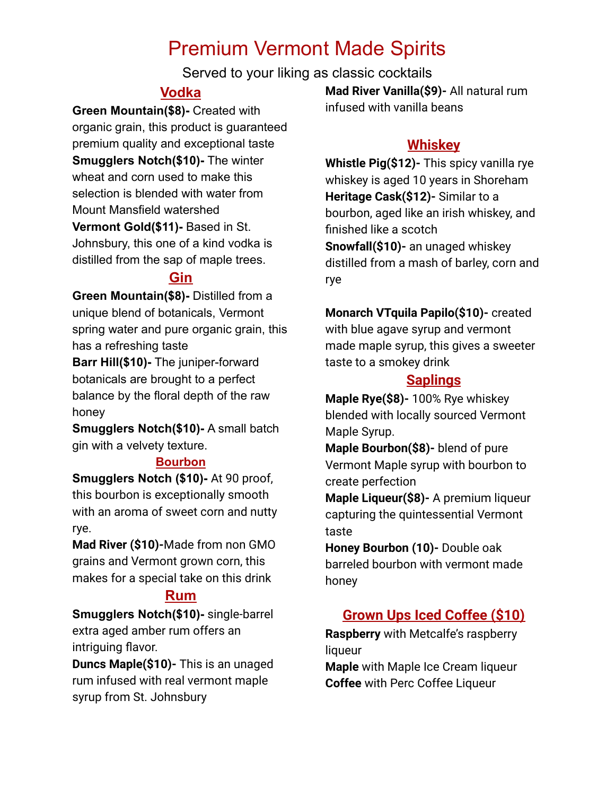## Premium Vermont Made Spirits

Served to your liking as classic cocktails

### **Vodka**

**Green Mountain(\$8)-** Created with organic grain, this product is guaranteed premium quality and exceptional taste **Smugglers Notch(\$10)-** The winter wheat and corn used to make this selection is blended with water from Mount Mansfield watershed **Vermont Gold(\$11)-** Based in St. Johnsbury, this one of a kind vodka is distilled from the sap of maple trees.

## **Gin**

**Green Mountain(\$8)-** Distilled from a unique blend of botanicals, Vermont spring water and pure organic grain, this has a refreshing taste

**Barr Hill(\$10)-** The juniper-forward botanicals are brought to a perfect balance by the floral depth of the raw honey

**Smugglers Notch(\$10)-** A small batch gin with a velvety texture.

#### **Bourbon**

**Smugglers Notch (\$10)-** At 90 proof, this bourbon is exceptionally smooth with an aroma of sweet corn and nutty rye.

**Mad River (\$10)-**Made from non GMO grains and Vermont grown corn, this makes for a special take on this drink

## **Rum**

**Smugglers Notch(\$10)-** single-barrel extra aged amber rum offers an intriguing flavor.

**Duncs Maple(\$10)-** This is an unaged rum infused with real vermont maple syrup from St. Johnsbury

**Mad River Vanilla(\$9)-** All natural rum infused with vanilla beans

## **Whiskey**

**Whistle Pig(\$12)-** This spicy vanilla rye whiskey is aged 10 years in Shoreham **Heritage Cask(\$12)-** Similar to a bourbon, aged like an irish whiskey, and finished like a scotch **Snowfall(\$10)-** an unaged whiskey distilled from a mash of barley, corn and rye

**Monarch VTquila Papilo(\$10)-** created with blue agave syrup and vermont made maple syrup, this gives a sweeter taste to a smokey drink

## **Saplings**

**Maple Rye(\$8)-** 100% Rye whiskey blended with locally sourced Vermont Maple Syrup.

**Maple Bourbon(\$8)-** blend of pure Vermont Maple syrup with bourbon to create perfection

**Maple Liqueur(\$8)-** A premium liqueur capturing the quintessential Vermont taste

**Honey Bourbon (10)-** Double oak barreled bourbon with vermont made honey

## **Grown Ups Iced Coffee (\$10)**

**Raspberry** with Metcalfe's raspberry liqueur

**Maple** with Maple Ice Cream liqueur **Coffee** with Perc Coffee Liqueur